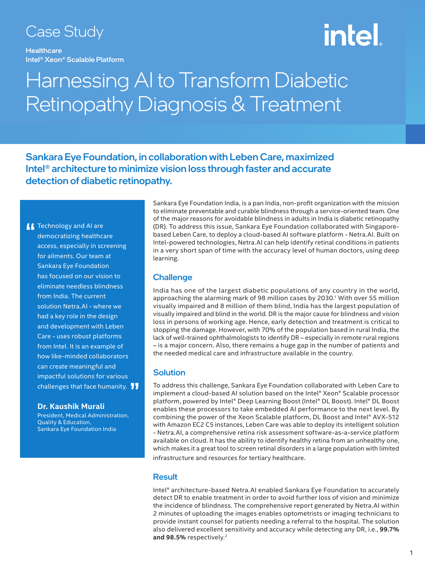### Case Study

**Healthcare** Intel® Xeon® Scalable Platform

# <u>intel.</u>

### Harnessing AI to Transform Diabetic Retinopathy Diagnosis & Treatment

Sankara Eye Foundation, in collaboration with Leben Care, maximized Intel® architecture to minimize vision loss through faster and accurate detection of diabetic retinopathy.

**The Technology and AI are democratizing healthcannel** democratizing healthcare access, especially in screening for ailments. Our team at Sankara Eye Foundation has focused on our vision to eliminate needless blindness from India. The current solution Netra.AI - where we had a key role in the design and development with Leben Care - uses robust platforms from Intel. It is an example of how like-minded collaborators can create meaningful and impactful solutions for various impactful solutions for various<br>challenges that face humanity. <mark> </mark> <mark>,</mark>

#### **Dr. Kaushik Murali**

President, Medical Administration, Quality & Education, Sankara Eye Foundation India

Sankara Eye Foundation India, is a pan India, non-profit organization with the mission to eliminate preventable and curable blindness through a service-oriented team. One of the major reasons for avoidable blindness in adults in India is diabetic retinopathy (DR). To address this issue, Sankara Eye Foundation collaborated with Singaporebased Leben Care, to deploy a cloud-based AI software platform - Netra.AI. Built on Intel-powered technologies, Netra.AI can help identify retinal conditions in patients in a very short span of time with the accuracy level of human doctors, using deep learning.

#### **Challenge**

India has one of the largest diabetic populations of any country in the world, approaching the alarming mark of 98 million cases by 2030.<sup>1</sup> With over 55 million visually impaired and 8 million of them blind, India has the largest population of visually impaired and blind in the world. DR is the major cause for blindness and vision loss in persons of working age. Hence, early detection and treatment is critical to stopping the damage. However, with 70% of the population based in rural India, the lack of well-trained ophthalmologists to identify DR – especially in remote rural regions – is a major concern. Also, there remains a huge gap in the number of patients and the needed medical care and infrastructure available in the country.

#### **Solution**

To address this challenge, Sankara Eye Foundation collaborated with Leben Care to implement a cloud-based AI solution based on the Intel® Xeon® Scalable processor platform, powered by Intel® Deep Learning Boost (Intel® DL Boost). Intel® DL Boost enables these processors to take embedded AI performance to the next level. By combining the power of the Xeon Scalable platform, DL Boost and Intel® AVX-512 with Amazon EC2 C5 instances, Leben Care was able to deploy its intelligent solution - Netra.AI, a comprehensive retina risk assessment software-as-a-service platform available on cloud. It has the ability to identify healthy retina from an unhealthy one, which makes it a great tool to screen retinal disorders in a large population with limited infrastructure and resources for tertiary healthcare.

#### **Result**

Intel® architecture-based Netra.AI enabled Sankara Eye Foundation to accurately detect DR to enable treatment in order to avoid further loss of vision and minimize the incidence of blindness. The comprehensive report generated by Netra.AI within 2 minutes of uploading the images enables optometrists or imaging technicians to provide instant counsel for patients needing a referral to the hospital. The solution also delivered excellent sensitivity and accuracy while detecting any DR, i.e., **99.7%**  and 98.5% respectively.<sup>2</sup>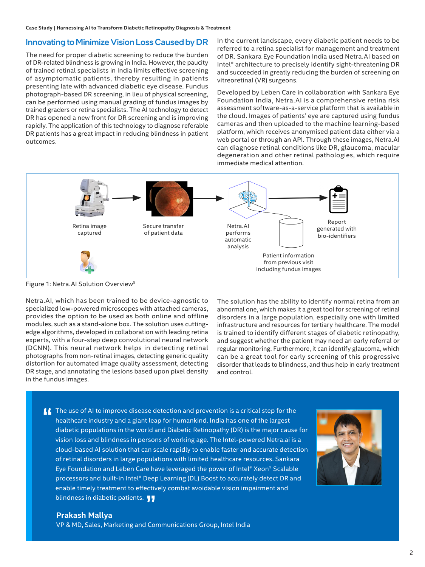#### Innovating to Minimize Vision Loss Caused by DR

The need for proper diabetic screening to reduce the burden of DR-related blindness is growing in India. However, the paucity of trained retinal specialists in India limits effective screening of asymptomatic patients, thereby resulting in patients presenting late with advanced diabetic eye disease. Fundus photograph-based DR screening, in lieu of physical screening, can be performed using manual grading of fundus images by trained graders or retina specialists. The AI technology to detect DR has opened a new front for DR screening and is improving rapidly. The application of this technology to diagnose referable DR patients has a great impact in reducing blindness in patient outcomes.

In the current landscape, every diabetic patient needs to be referred to a retina specialist for management and treatment of DR. Sankara Eye Foundation India used Netra.AI based on Intel® architecture to precisely identify sight-threatening DR and succeeded in greatly reducing the burden of screening on vitreoretinal (VR) surgeons.

Developed by Leben Care in collaboration with Sankara Eye Foundation India, Netra.AI is a comprehensive retina risk assessment software-as-a-service platform that is available in the cloud. Images of patients' eye are captured using fundus cameras and then uploaded to the machine learning-based platform, which receives anonymised patient data either via a web portal or through an API. Through these images, Netra.AI can diagnose retinal conditions like DR, glaucoma, macular degeneration and other retinal pathologies, which require immediate medical attention.



Figure 1: Netra.AI Solution Overview3

Netra.AI, which has been trained to be device-agnostic to specialized low-powered microscopes with attached cameras, provides the option to be used as both online and offline modules, such as a stand-alone box. The solution uses cuttingedge algorithms, developed in collaboration with leading retina experts, with a four-step deep convolutional neural network (DCNN). This neural network helps in detecting retinal photographs from non-retinal images, detecting generic quality distortion for automated image quality assessment, detecting DR stage, and annotating the lesions based upon pixel density in the fundus images.

The solution has the ability to identify normal retina from an abnormal one, which makes it a great tool for screening of retinal disorders in a large population, especially one with limited infrastructure and resources for tertiary healthcare. The model is trained to identify different stages of diabetic retinopathy, and suggest whether the patient may need an early referral or regular monitoring. Furthermore, it can identify glaucoma, which can be a great tool for early screening of this progressive disorder that leads to blindness, and thus help in early treatment and control.

**If** The use of AI to improve disease detection and prevention is a critical step for the healthcare industry and a giant leap for humankind. India has one of the largest healthcare industry and a giant leap for humankind. India has one of the largest diabetic populations in the world and Diabetic Retinopathy (DR) is the major cause for vision loss and blindness in persons of working age. The Intel-powered Netra.ai is a cloud-based AI solution that can scale rapidly to enable faster and accurate detection of retinal disorders in large populations with limited healthcare resources. Sankara Eye Foundation and Leben Care have leveraged the power of Intel® Xeon® Scalable processors and built-in Intel® Deep Learning (DL) Boost to accurately detect DR and enable timely treatment to effectively combat avoidable vision impairment and enable timely treatment to effectiv<br>blindness in diabetic patients. <mark>J J</mark>



#### **Prakash Mallya**

VP & MD, Sales, Marketing and Communications Group, Intel India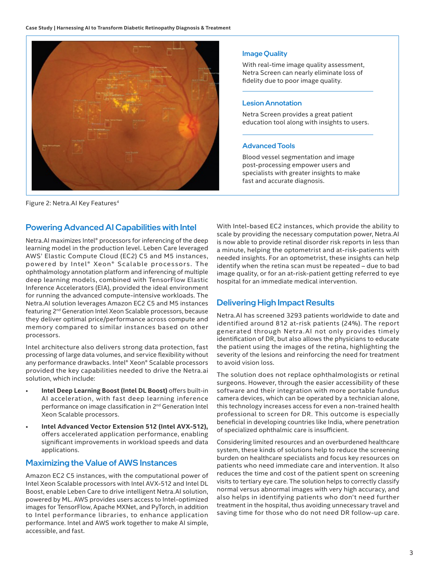

Figure 2: Netra. AI Key Features<sup>4</sup>

#### Powering Advanced AI Capabilities with Intel

Netra.AI maximizes Intel® processors for inferencing of the deep learning model in the production level. Leben Care leveraged AWS' Elastic Compute Cloud (EC2) C5 and M5 instances, powered by Intel® Xeon® Scalable processors. The ophthalmology annotation platform and inferencing of multiple deep learning models, combined with TensorFlow Elastic Inference Accelerators (EIA), provided the ideal environment for running the advanced compute-intensive workloads. The Netra.AI solution leverages Amazon EC2 C5 and M5 instances featuring 2nd Generation Intel Xeon Scalable processors, because they deliver optimal price/performance across compute and memory compared to similar instances based on other processors.

Intel architecture also delivers strong data protection, fast processing of large data volumes, and service flexibility without any performance drawbacks. Intel® Xeon® Scalable processors provided the key capabilities needed to drive the Netra.ai solution, which include:

- **Intel Deep Learning Boost (Intel DL Boost)** offers built-in AI acceleration, with fast deep learning inference performance on image classification in 2nd Generation Intel Xeon Scalable processors.
- **Intel Advanced Vector Extension 512 (Intel AVX-512),**  offers accelerated application performance, enabling significant improvements in workload speeds and data applications.

#### Maximizing the Value of AWS Instances

Amazon EC2 C5 instances, with the computational power of Intel Xeon Scalable processors with Intel AVX-512 and Intel DL Boost, enable Leben Care to drive intelligent Netra.AI solution, powered by ML. AWS provides users access to Intel-optimized images for TensorFlow, Apache MXNet, and PyTorch, in addition to Intel performance libraries, to enhance application performance. Intel and AWS work together to make AI simple, accessible, and fast.

#### Image Quality

With real-time image quality assessment, Netra Screen can nearly eliminate loss of fidelity due to poor image quality.

#### Lesion Annotation

Netra Screen provides a great patient education tool along with insights to users.

#### Advanced Tools

Blood vessel segmentation and image post-processing empower users and specialists with greater insights to make fast and accurate diagnosis.

With Intel-based EC2 instances, which provide the ability to scale by providing the necessary computation power, Netra.AI is now able to provide retinal disorder risk reports in less than a minute, helping the optometrist and at-risk-patients with needed insights. For an optometrist, these insights can help identify when the retina scan must be repeated – due to bad image quality, or for an at-risk-patient getting referred to eye hospital for an immediate medical intervention.

#### Delivering High Impact Results

Netra.AI has screened 3293 patients worldwide to date and identified around 812 at-risk patients (24%). The report generated through Netra.AI not only provides timely identification of DR, but also allows the physicians to educate the patient using the images of the retina, highlighting the severity of the lesions and reinforcing the need for treatment to avoid vision loss.

The solution does not replace ophthalmologists or retinal surgeons. However, through the easier accessibility of these software and their integration with more portable fundus camera devices, which can be operated by a technician alone, this technology increases access for even a non-trained health professional to screen for DR. This outcome is especially beneficial in developing countries like India, where penetration of specialized ophthalmic care is insufficient.

Considering limited resources and an overburdened healthcare system, these kinds of solutions help to reduce the screening burden on healthcare specialists and focus key resources on patients who need immediate care and intervention. It also reduces the time and cost of the patient spent on screening visits to tertiary eye care. The solution helps to correctly classify normal versus abnormal images with very high accuracy, and also helps in identifying patients who don't need further treatment in the hospital, thus avoiding unnecessary travel and saving time for those who do not need DR follow-up care.